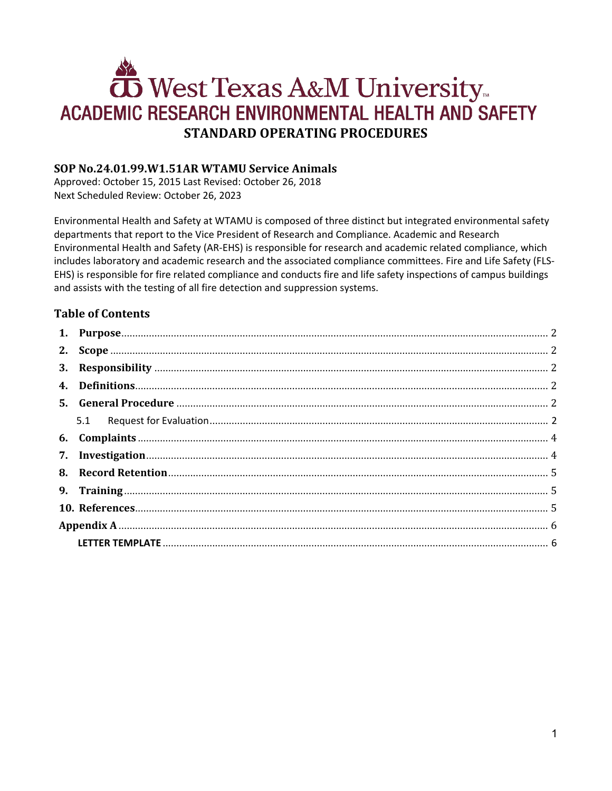# West Texas A&M University ACADEMIC RESEARCH ENVIRONMENTAL HEALTH AND SAFETY **STANDARD OPERATING PROCEDURES**

# **SOP No.24.01.99.W1.51AR WTAMU Service Animals**

Approved: October 15, 2015 Last Revised: October 26, 2018 Next Scheduled Review: October 26, 2023

Environmental Health and Safety at WTAMU is composed of three distinct but integrated environmental safety departments that report to the Vice President of Research and Compliance. Academic and Research Environmental Health and Safety (AR-EHS) is responsible for research and academic related compliance, which includes laboratory and academic research and the associated compliance committees. Fire and Life Safety (FLS-EHS) is responsible for fire related compliance and conducts fire and life safety inspections of campus buildings and assists with the testing of all fire detection and suppression systems.

# **Table of Contents**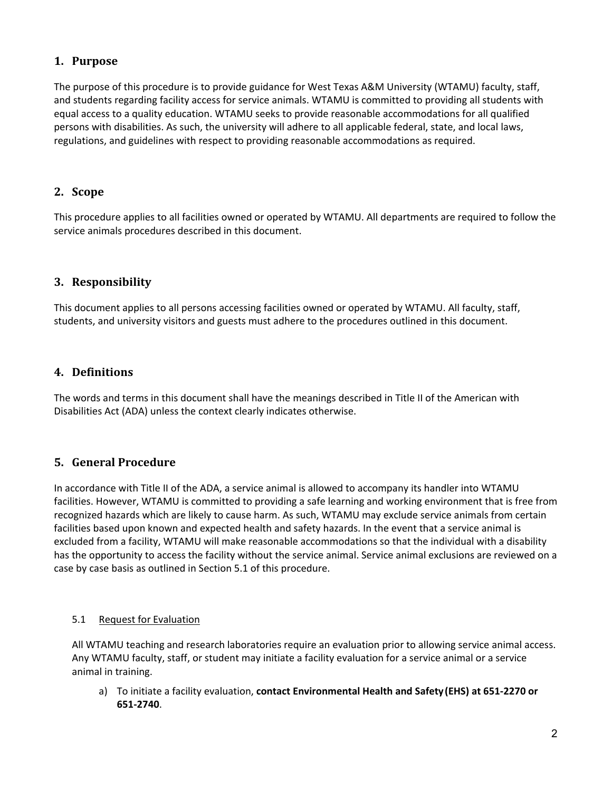## <span id="page-1-0"></span>**1. Purpose**

The purpose of this procedure is to provide guidance for West Texas A&M University (WTAMU) faculty, staff, and students regarding facility access for service animals. WTAMU is committed to providing all students with equal access to a quality education. WTAMU seeks to provide reasonable accommodations for all qualified persons with disabilities. As such, the university will adhere to all applicable federal, state, and local laws, regulations, and guidelines with respect to providing reasonable accommodations as required.

## <span id="page-1-1"></span>**2. Scope**

This procedure applies to all facilities owned or operated by WTAMU. All departments are required to follow the service animals procedures described in this document.

# <span id="page-1-2"></span>**3. Responsibility**

This document applies to all persons accessing facilities owned or operated by WTAMU. All faculty, staff, students, and university visitors and guests must adhere to the procedures outlined in this document.

# <span id="page-1-3"></span>**4. Definitions**

The words and terms in this document shall have the meanings described in Title II of the American with Disabilities Act (ADA) unless the context clearly indicates otherwise.

# <span id="page-1-4"></span>**5. General Procedure**

In accordance with Title II of the ADA, a service animal is allowed to accompany its handler into WTAMU facilities. However, WTAMU is committed to providing a safe learning and working environment that is free from recognized hazards which are likely to cause harm. As such, WTAMU may exclude service animals from certain facilities based upon known and expected health and safety hazards. In the event that a service animal is excluded from a facility, WTAMU will make reasonable accommodations so that the individual with a disability has the opportunity to access the facility without the service animal. Service animal exclusions are reviewed on a case by case basis as outlined in Section 5.1 of this procedure.

## <span id="page-1-5"></span>5.1 Request for Evaluation

All WTAMU teaching and research laboratories require an evaluation prior to allowing service animal access. Any WTAMU faculty, staff, or student may initiate a facility evaluation for a service animal or a service animal in training.

a) To initiate a facility evaluation, **contact Environmental Health and Safety(EHS) at 651-2270 or 651-2740**.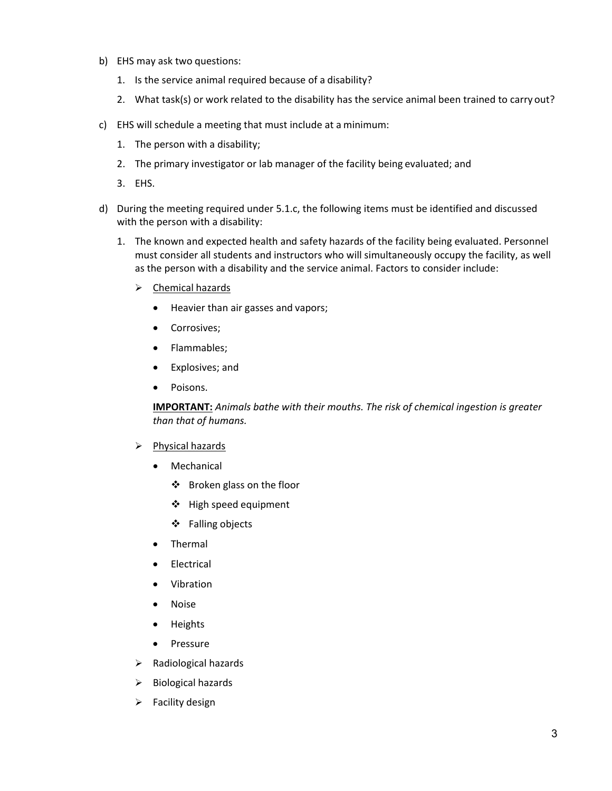- b) EHS may ask two questions:
	- 1. Is the service animal required because of a disability?
	- 2. What task(s) or work related to the disability has the service animal been trained to carry out?
- c) EHS will schedule a meeting that must include at a minimum:
	- 1. The person with a disability;
	- 2. The primary investigator or lab manager of the facility being evaluated; and
	- 3. EHS.
- d) During the meeting required under 5.1.c, the following items must be identified and discussed with the person with a disability:
	- 1. The known and expected health and safety hazards of the facility being evaluated. Personnel must consider all students and instructors who will simultaneously occupy the facility, as well as the person with a disability and the service animal. Factors to consider include:
		- > Chemical hazards
			- Heavier than air gasses and vapors;
			- Corrosives;
			- Flammables;
			- Explosives; and
			- Poisons.

**IMPORTANT:** *Animals bathe with their mouths. The risk of chemical ingestion is greater than that of humans.*

#### $\triangleright$  Physical hazards

- **Mechanical** 
	- Broken glass on the floor
	- High speed equipment
	- Falling objects
- Thermal
- **Electrical**
- Vibration
- Noise
- Heights
- Pressure
- $\triangleright$  Radiological hazards
- $\triangleright$  Biological hazards
- $\triangleright$  Facility design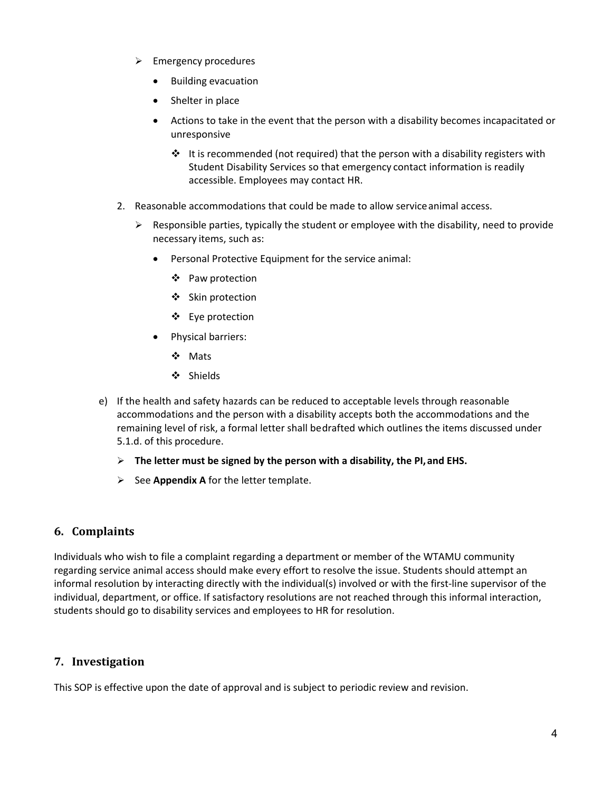- $\triangleright$  Emergency procedures
	- Building evacuation
	- Shelter in place
	- Actions to take in the event that the person with a disability becomes incapacitated or unresponsive
		- $\cdot \cdot$  It is recommended (not required) that the person with a disability registers with Student Disability Services so that emergency contact information is readily accessible. Employees may contact HR.
- 2. Reasonable accommodations that could be made to allow serviceanimal access.
	- $\triangleright$  Responsible parties, typically the student or employee with the disability, need to provide necessary items, such as:
		- Personal Protective Equipment for the service animal:
			- ❖ Paw protection
			- ❖ Skin protection
			- Eye protection
		- Physical barriers:
			- ❖ Mats
			- Shields
- e) If the health and safety hazards can be reduced to acceptable levels through reasonable accommodations and the person with a disability accepts both the accommodations and the remaining level of risk, a formal letter shall bedrafted which outlines the items discussed under 5.1.d. of this procedure.
	- **The letter must be signed by the person with a disability, the PI,and EHS.**
	- $\triangleright$  See **Appendix A** for the letter template.

## <span id="page-3-0"></span>**6. Complaints**

Individuals who wish to file a complaint regarding a department or member of the WTAMU community regarding service animal access should make every effort to resolve the issue. Students should attempt an informal resolution by interacting directly with the individual(s) involved or with the first-line supervisor of the individual, department, or office. If satisfactory resolutions are not reached through this informal interaction, students should go to disability services and employees to HR for resolution.

## <span id="page-3-1"></span>**7. Investigation**

This SOP is effective upon the date of approval and is subject to periodic review and revision.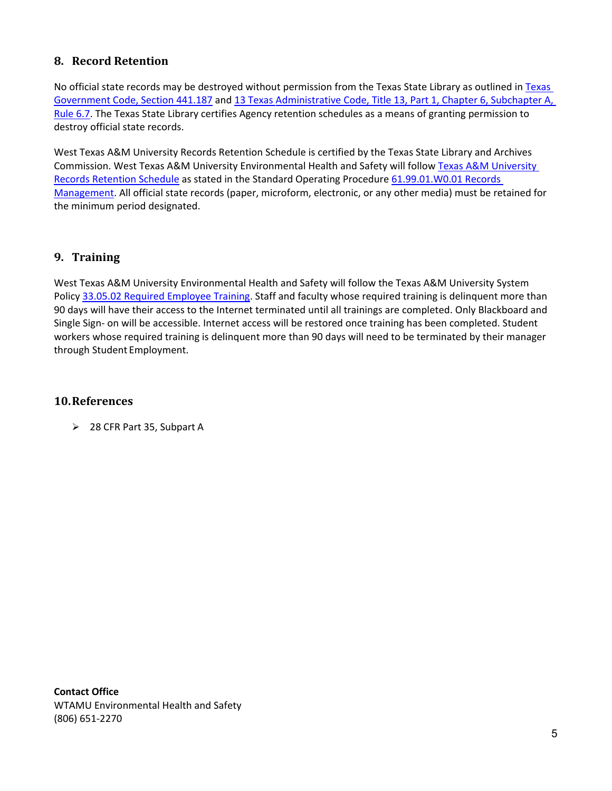# <span id="page-4-0"></span>**8. Record Retention**

No official state records may be destroyed without permission from the [Texas](http://www.statutes.legis.state.tx.us/?link=GV) State Library as outlined in Texas [Government Code, Section 441.187](http://www.statutes.legis.state.tx.us/?link=GV) and 13 Texas [Administrative Code, Title 13, Part 1, Chapter 6, Subchapter A,](https://www.wtamu.edu/webres/File/Risk%20Management/System-Records-Retention-Schedule.pdf)  [Rule 6.7.](https://www.wtamu.edu/webres/File/Risk%20Management/System-Records-Retention-Schedule.pdf) The Texas State Library certifies Agency retention schedules as a means of granting permission to destroy official state records.

West Texas A&M University Records Retention Schedule is certified by the Texas State Library and Archives Commission. West Texas A&M University Environmental Health and Safety will follow [Texas A&M University](https://www.wtamu.edu/webres/File/Risk%20Management/System-Records-Retention-Schedule.pdf)  [Records Retention Schedule](https://www.wtamu.edu/webres/File/Risk%20Management/System-Records-Retention-Schedule.pdf) as stated in the Standard Operating Procedure [61.99.01.W0.01 Records](http://www.wtamu.edu/webres/File/Risk%20Management/61.99.01.W0.01_PROCEDURE_Records%20Management_FINAL%20SIGNED.pdf)  [Management.](http://www.wtamu.edu/webres/File/Risk%20Management/61.99.01.W0.01_PROCEDURE_Records%20Management_FINAL%20SIGNED.pdf) All official state records (paper, microform, electronic, or any other media) must be retained for the minimum period designated.

## <span id="page-4-1"></span>**9. Training**

West Texas A&M University Environmental Health and Safety will follow the Texas A&M University System Polic[y 33.05.02 Required Employee Training.](http://policies.tamus.edu/33-05-02.pdf) Staff and faculty whose required training is delinquent more than 90 days will have their access to the Internet terminated until all trainings are completed. Only Blackboard and Single Sign- on will be accessible. Internet access will be restored once training has been completed. Student workers whose required training is delinquent more than 90 days will need to be terminated by their manager through Student Employment.

## <span id="page-4-2"></span>**10.References**

28 CFR Part 35, Subpart A

**Contact Office** WTAMU Environmental Health and Safety (806) 651-2270